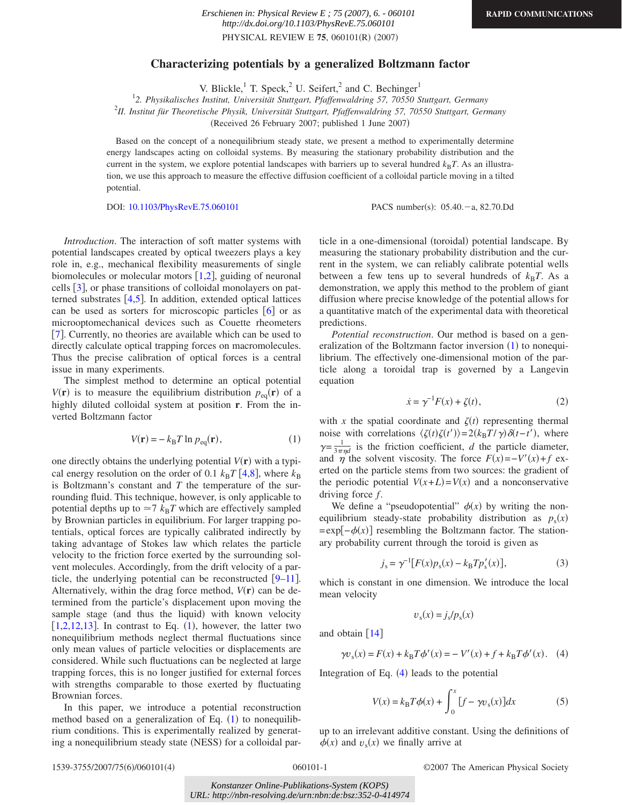## **Characterizing potentials by a generalized Boltzmann factor**

V. Blickle, $\frac{1}{1}$  T. Speck, $\frac{2}{1}$  U. Seifert, $\frac{2}{1}$  and C. Bechinger<sup>1</sup>

1 *2. Physikalisches Institut, Universität Stuttgart, Pfaffenwaldring 57, 70550 Stuttgart, Germany*

2 *II. Institut für Theoretische Physik, Universität Stuttgart, Pfaffenwaldring 57, 70550 Stuttgart, Germany*

(Received 26 February 2007; published 1 June 2007)

Based on the concept of a nonequilibrium steady state, we present a method to experimentally determine energy landscapes acting on colloidal systems. By measuring the stationary probability distribution and the current in the system, we explore potential landscapes with barriers up to several hundred  $k_B T$ . As an illustration, we use this approach to measure the effective diffusion coefficient of a colloidal particle moving in a tilted potential.

DOI: [10.1103/PhysRevE.75.060101](http://dx.doi.org/10.1103/PhysRevE.75.060101)

PACS number(s):  $05.40 - a$ , 82.70.Dd

*Introduction*. The interaction of soft matter systems with potential landscapes created by optical tweezers plays a key role in, e.g., mechanical flexibility measurements of single biomolecules or molecular motors  $[1,2]$  $[1,2]$  $[1,2]$  $[1,2]$ , guiding of neuronal cells  $[3]$  $[3]$  $[3]$ , or phase transitions of colloidal monolayers on patterned substrates  $[4,5]$  $[4,5]$  $[4,5]$  $[4,5]$ . In addition, extended optical lattices can be used as sorters for microscopic particles  $\lceil 6 \rceil$  $\lceil 6 \rceil$  $\lceil 6 \rceil$  or as microoptomechanical devices such as Couette rheometers [[7](#page-3-6)]. Currently, no theories are available which can be used to directly calculate optical trapping forces on macromolecules. Thus the precise calibration of optical forces is a central issue in many experiments.

The simplest method to determine an optical potential  $V(\mathbf{r})$  is to measure the equilibrium distribution  $p_{eq}(\mathbf{r})$  of a highly diluted colloidal system at position **r**. From the inverted Boltzmann factor

$$
V(\mathbf{r}) = -k_{\text{B}} T \ln p_{\text{eq}}(\mathbf{r}),\tag{1}
$$

<span id="page-0-0"></span>one directly obtains the underlying potential  $V(\mathbf{r})$  with a typical energy resolution on the order of 0.1  $k_B T$  [[4,](#page-3-3)[8](#page-3-7)], where  $k_B$ is Boltzmann's constant and *T* the temperature of the surrounding fluid. This technique, however, is only applicable to potential depths up to  $\approx$ 7  $k_B T$  which are effectively sampled by Brownian particles in equilibrium. For larger trapping potentials, optical forces are typically calibrated indirectly by taking advantage of Stokes law which relates the particle velocity to the friction force exerted by the surrounding solvent molecules. Accordingly, from the drift velocity of a particle, the underlying potential can be reconstructed  $|9-11|$  $|9-11|$  $|9-11|$ . Alternatively, within the drag force method,  $V(\mathbf{r})$  can be determined from the particle's displacement upon moving the sample stage (and thus the liquid) with known velocity [ $1,2,12,13$  $1,2,12,13$  $1,2,12,13$  $1,2,12,13$ ]. In contrast to Eq.  $(1)$ , however, the latter two nonequilibrium methods neglect thermal fluctuations since only mean values of particle velocities or displacements are considered. While such fluctuations can be neglected at large trapping forces, this is no longer justified for external forces with strengths comparable to those exerted by fluctuating Brownian forces.

In this paper, we introduce a potential reconstruction method based on a generalization of Eq.  $(1)$  $(1)$  $(1)$  to nonequilibrium conditions. This is experimentally realized by generating a nonequilibrium steady state (NESS) for a colloidal par-

ticle in a one-dimensional (toroidal) potential landscape. By measuring the stationary probability distribution and the current in the system, we can reliably calibrate potential wells between a few tens up to several hundreds of  $k_B T$ . As a demonstration, we apply this method to the problem of giant diffusion where precise knowledge of the potential allows for a quantitative match of the experimental data with theoretical predictions.

*Potential reconstruction*. Our method is based on a gen-eralization of the Boltzmann factor inversion ([1](#page-0-0)) to nonequilibrium. The effectively one-dimensional motion of the particle along a toroidal trap is governed by a Langevin equation

$$
\dot{x} = \gamma^{-1} F(x) + \zeta(t),\tag{2}
$$

with *x* the spatial coordinate and  $\zeta(t)$  representing thermal noise with correlations  $\langle \zeta(t) \zeta(t') \rangle = 2(k_B T/\gamma) \delta(t-t')$ , where  $\gamma = \frac{1}{3\pi\eta d}$  is the friction coefficient, *d* the particle diameter, and  $\eta$  the solvent viscosity. The force  $F(x) = -V'(x) + f$  exerted on the particle stems from two sources: the gradient of the periodic potential  $V(x+L) = V(x)$  and a nonconservative driving force *f*.

We define a "pseudopotential"  $\phi(x)$  by writing the nonequilibrium steady-state probability distribution as  $p_s(x)$  $= \exp[-\phi(x)]$  resembling the Boltzmann factor. The stationary probability current through the toroid is given as

$$
j_{s} = \gamma^{-1} [F(x) p_{s}(x) - k_{B} T p'_{s}(x)], \qquad (3)
$$

which is constant in one dimension. We introduce the local mean velocity

$$
v_{\rm s}(x) = j_{\rm s}/p_{\rm s}(x)
$$

<span id="page-0-1"></span>and obtain  $\lfloor 14 \rfloor$  $\lfloor 14 \rfloor$  $\lfloor 14 \rfloor$ 

$$
\gamma v_s(x) = F(x) + k_B T \phi'(x) = -V'(x) + f + k_B T \phi'(x).
$$
 (4)

<span id="page-0-2"></span>Integration of Eq.  $(4)$  $(4)$  $(4)$  leads to the potential

$$
V(x) = k_{\rm B}T\phi(x) + \int_0^x [f - \gamma v_s(x)]dx
$$
 (5)

up to an irrelevant additive constant. Using the definitions of  $\phi(x)$  and  $v_s(x)$  we finally arrive at

060101-1 ©2007 The American Physical Society

*Konstanzer Online-Publikations-System (KOPS) URL: http://nbn-resolving.de/urn:nbn:de:bsz:352-0-414974*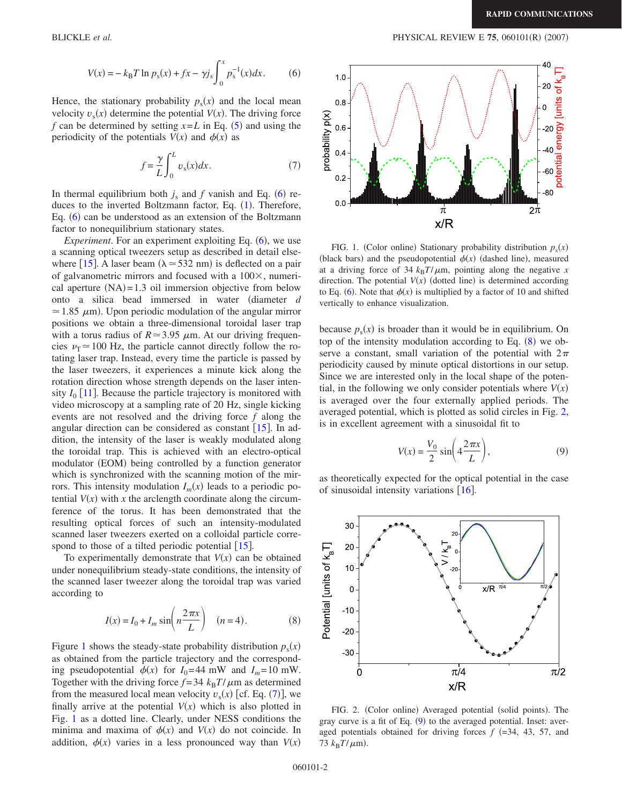$$
V(x) = -k_{\rm B}T \ln p_{\rm s}(x) + fx - \gamma j_{\rm s} \int_0^x p_{\rm s}^{-1}(x) dx.
$$
 (6)

<span id="page-1-0"></span>Hence, the stationary probability  $p_s(x)$  and the local mean velocity  $v_s(x)$  determine the potential  $V(x)$ . The driving force *f* can be determined by setting  $x = L$  in Eq. ([5](#page-0-2)) and using the periodicity of the potentials  $V(x)$  and  $\phi(x)$  as

$$
f = \frac{\gamma}{L} \int_0^L v_s(x) dx.
$$
 (7)

<span id="page-1-2"></span>In thermal equilibrium both  $j_s$  and  $f$  vanish and Eq. ([6](#page-1-0)) re-duces to the inverted Boltzmann factor, Eq. ([1](#page-0-0)). Therefore, Eq. ([6](#page-1-0)) can be understood as an extension of the Boltzmann factor to nonequilibrium stationary states.

*Experiment*. For an experiment exploiting Eq. ([6](#page-1-0)), we use a scanning optical tweezers setup as described in detail else-where [[15](#page-3-13)]. A laser beam ( $\lambda \approx 532$  nm) is deflected on a pair of galvanometric mirrors and focused with a  $100\times$ , numerical aperture  $(NA)=1.3$  oil immersion objective from below onto a silica bead immersed in water diameter *d*  $\approx$  1.85  $\mu$ m). Upon periodic modulation of the angular mirror positions we obtain a three-dimensional toroidal laser trap with a torus radius of  $R \approx 3.95 \mu m$ . At our driving frequencies  $\nu$ <sub>T</sub>  $\approx$  100 Hz, the particle cannot directly follow the rotating laser trap. Instead, every time the particle is passed by the laser tweezers, it experiences a minute kick along the rotation direction whose strength depends on the laser intensity  $I_0$  [[11](#page-3-9)]. Because the particle trajectory is monitored with video microscopy at a sampling rate of 20 Hz, single kicking events are not resolved and the driving force *f* along the angular direction can be considered as constant  $[15]$  $[15]$  $[15]$ . In addition, the intensity of the laser is weakly modulated along the toroidal trap. This is achieved with an electro-optical modulator (EOM) being controlled by a function generator which is synchronized with the scanning motion of the mirrors. This intensity modulation  $I_m(x)$  leads to a periodic potential  $V(x)$  with x the arclength coordinate along the circumference of the torus. It has been demonstrated that the resulting optical forces of such an intensity-modulated scanned laser tweezers exerted on a colloidal particle correspond to those of a tilted periodic potential  $\lceil 15 \rceil$  $\lceil 15 \rceil$  $\lceil 15 \rceil$ .

To experimentally demonstrate that  $V(x)$  can be obtained under nonequilibrium steady-state conditions, the intensity of the scanned laser tweezer along the toroidal trap was varied according to

$$
I(x) = I_0 + I_m \sin\left(n\frac{2\pi x}{L}\right) \quad (n = 4).
$$
 (8)

<span id="page-1-3"></span>Figure [1](#page-1-1) shows the steady-state probability distribution  $p_s(x)$ as obtained from the particle trajectory and the corresponding pseudopotential  $\phi(x)$  for  $I_0 = 44$  mW and  $I_m = 10$  mW. Together with the driving force  $f = 34$   $k_B T / \mu$ m as determined from the measured local mean velocity  $v_s(x)$  [cf. Eq. ([7](#page-1-2))], we finally arrive at the potential  $V(x)$  which is also plotted in Fig. [1](#page-1-1) as a dotted line. Clearly, under NESS conditions the minima and maxima of  $\phi(x)$  and  $V(x)$  do not coincide. In addition,  $\phi(x)$  varies in a less pronounced way than  $V(x)$ 

<span id="page-1-1"></span>

FIG. 1. (Color online) Stationary probability distribution  $p_s(x)$ (black bars) and the pseudopotential  $\phi(x)$  (dashed line), measured at a driving force of  $34 \frac{k_B T}{\mu m}$ , pointing along the negative *x* direction. The potential  $V(x)$  (dotted line) is determined according to Eq. ([6](#page-1-0)). Note that  $\phi(x)$  is multiplied by a factor of 10 and shifted vertically to enhance visualization.

because  $p_s(x)$  is broader than it would be in equilibrium. On top of the intensity modulation according to Eq.  $(8)$  $(8)$  $(8)$  we observe a constant, small variation of the potential with  $2\pi$ periodicity caused by minute optical distortions in our setup. Since we are interested only in the local shape of the potential, in the following we only consider potentials where  $V(x)$ is averaged over the four externally applied periods. The averaged potential, which is plotted as solid circles in Fig. [2,](#page-1-4) is in excellent agreement with a sinusoidal fit to

$$
V(x) = \frac{V_0}{2} \sin\left(4\frac{2\pi x}{L}\right),\tag{9}
$$

<span id="page-1-5"></span>as theoretically expected for the optical potential in the case of sinusoidal intensity variations  $[16]$  $[16]$  $[16]$ .

<span id="page-1-4"></span>

FIG. 2. (Color online) Averaged potential (solid points). The gray curve is a fit of Eq. ([9](#page-1-5)) to the averaged potential. Inset: averaged potentials obtained for driving forces  $f$  (=34, 43, 57, and 73  $k_B T/\mu$ m).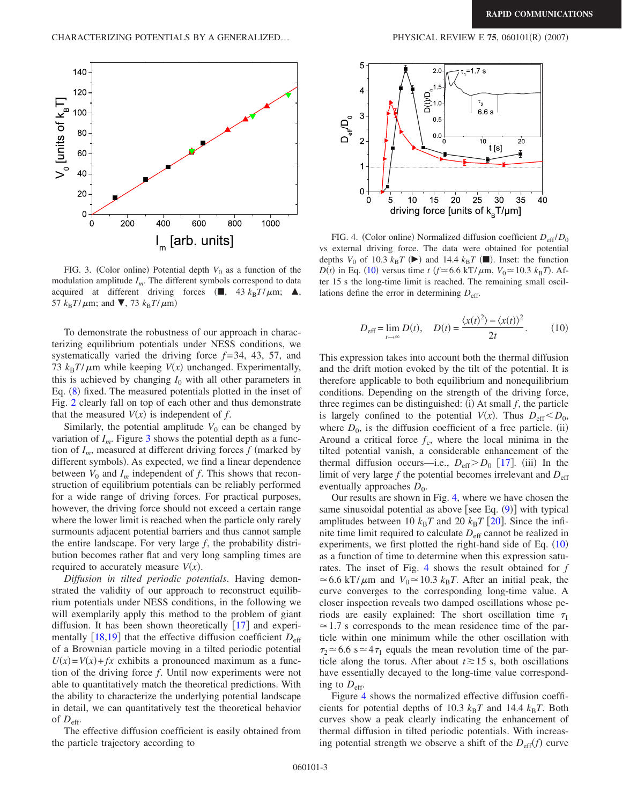<span id="page-2-0"></span>

FIG. 3. (Color online) Potential depth  $V_0$  as a function of the modulation amplitude *Im*. The different symbols correspond to data acquired at different driving forces ( $\blacksquare$ , 43  $k_B T/\mu$ m;  $\blacktriangle$ , 57  $k_B T/\mu$ m; and **V**, 73  $k_B T/\mu$ m)

To demonstrate the robustness of our approach in characterizing equilibrium potentials under NESS conditions, we systematically varied the driving force *f* = 34, 43, 57, and 73  $k_B T / \mu$ m while keeping  $V(x)$  unchanged. Experimentally, this is achieved by changing  $I_0$  with all other parameters in Eq. ([8](#page-1-3)) fixed. The measured potentials plotted in the inset of Fig. [2](#page-1-4) clearly fall on top of each other and thus demonstrate that the measured  $V(x)$  is independent of  $f$ .

Similarly, the potential amplitude  $V_0$  can be changed by variation of  $I_m$ . Figure [3](#page-2-0) shows the potential depth as a function of  $I_m$ , measured at different driving forces  $f$  (marked by different symbols). As expected, we find a linear dependence between  $V_0$  and  $I_m$  independent of f. This shows that reconstruction of equilibrium potentials can be reliably performed for a wide range of driving forces. For practical purposes, however, the driving force should not exceed a certain range where the lower limit is reached when the particle only rarely surmounts adjacent potential barriers and thus cannot sample the entire landscape. For very large *f*, the probability distribution becomes rather flat and very long sampling times are required to accurately measure  $V(x)$ .

*Diffusion in tilted periodic potentials*. Having demonstrated the validity of our approach to reconstruct equilibrium potentials under NESS conditions, in the following we will exemplarily apply this method to the problem of giant diffusion. It has been shown theoretically  $[17]$  $[17]$  $[17]$  and experimentally  $[18,19]$  $[18,19]$  $[18,19]$  $[18,19]$  that the effective diffusion coefficient  $D_{\text{eff}}$ of a Brownian particle moving in a tilted periodic potential  $U(x) = V(x) + fx$  exhibits a pronounced maximum as a function of the driving force *f*. Until now experiments were not able to quantitatively match the theoretical predictions. With the ability to characterize the underlying potential landscape in detail, we can quantitatively test the theoretical behavior of  $D_{\text{eff}}$ .

The effective diffusion coefficient is easily obtained from the particle trajectory according to

<span id="page-2-1"></span>

FIG. 4. (Color online) Normalized diffusion coefficient  $D_{\text{eff}}/D_0$ vs external driving force. The data were obtained for potential depths  $V_0$  of 10.3  $k_B T$  ( $\blacktriangleright$ ) and 14.4  $k_B T$  ( $\blacksquare$ ). Inset: the function *D*(*t*) in Eq. ([10](#page-2-2)) versus time *t* ( $f \approx 6.6$  kT/ $\mu$ m,  $V_0 \approx 10.3$   $k_B T$ ). After 15 s the long-time limit is reached. The remaining small oscillations define the error in determining *D*eff.

$$
D_{\text{eff}} = \lim_{t \to \infty} D(t), \quad D(t) = \frac{\langle x(t)^2 \rangle - \langle x(t) \rangle^2}{2t}.
$$
 (10)

<span id="page-2-2"></span>This expression takes into account both the thermal diffusion and the drift motion evoked by the tilt of the potential. It is therefore applicable to both equilibrium and nonequilibrium conditions. Depending on the strength of the driving force, three regimes can be distinguished: (i) At small  $f$ , the particle is largely confined to the potential  $V(x)$ . Thus  $D_{\text{eff}} < D_0$ , where  $D_0$ , is the diffusion coefficient of a free particle. (ii) Around a critical force  $f_c$ , where the local minima in the tilted potential vanish, a considerable enhancement of the thermal diffusion occurs—i.e.,  $D_{\text{eff}} > D_0$  [[17](#page-3-15)]. (iii) In the limit of very large  $f$  the potential becomes irrelevant and  $D_{\text{eff}}$ eventually approaches  $D_0$ .

Our results are shown in Fig. [4,](#page-2-1) where we have chosen the same sinusoidal potential as above [see Eq.  $(9)$  $(9)$  $(9)$ ] with typical amplitudes between 10  $k_B T$  and [20](#page-3-18)  $k_B T$  [20]. Since the infinite time limit required to calculate  $D_{\text{eff}}$  cannot be realized in experiments, we first plotted the right-hand side of Eq.  $(10)$  $(10)$  $(10)$ as a function of time to determine when this expression saturates. The inset of Fig. [4](#page-2-1) shows the result obtained for *f*  $\approx$  6.6 kT/ $\mu$ m and  $V_0 \approx$  10.3  $k_B T$ . After an initial peak, the curve converges to the corresponding long-time value. A closer inspection reveals two damped oscillations whose periods are easily explained: The short oscillation time  $\tau_1$  $\approx$  1.7 s corresponds to the mean residence time of the particle within one minimum while the other oscillation with  $\tau_2 \approx 6.6$  s  $\approx 4\tau_1$  equals the mean revolution time of the particle along the torus. After about  $t \ge 15$  s, both oscillations have essentially decayed to the long-time value corresponding to  $D_{\text{eff}}$ .

Figure [4](#page-2-1) shows the normalized effective diffusion coefficients for potential depths of 10.3  $k_B T$  and 14.4  $k_B T$ . Both curves show a peak clearly indicating the enhancement of thermal diffusion in tilted periodic potentials. With increasing potential strength we observe a shift of the  $D_{\text{eff}}(f)$  curve